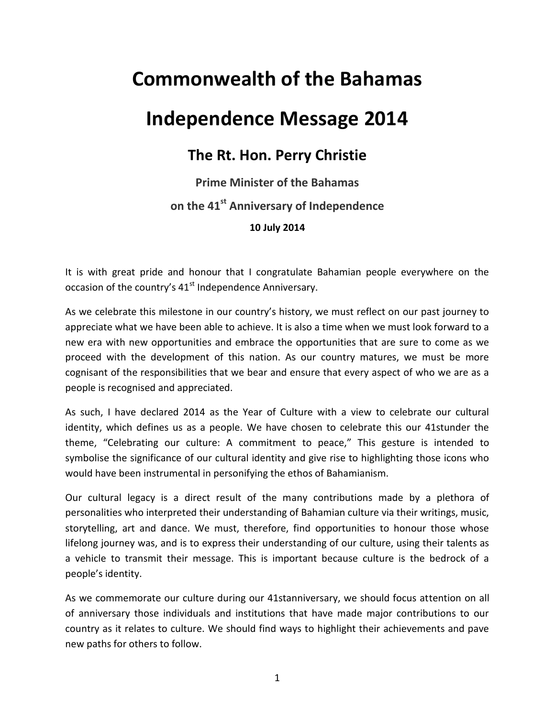## **Commonwealth of the Bahamas**

## **Independence Message 2014**

## **The Rt. Hon. Perry Christie**

## **Prime Minister of the Bahamas on the 41st Anniversary of Independence 10 July 2014**

It is with great pride and honour that I congratulate Bahamian people everywhere on the occasion of the country's 41<sup>st</sup> Independence Anniversary.

As we celebrate this milestone in our country's history, we must reflect on our past journey to appreciate what we have been able to achieve. It is also a time when we must look forward to a new era with new opportunities and embrace the opportunities that are sure to come as we proceed with the development of this nation. As our country matures, we must be more cognisant of the responsibilities that we bear and ensure that every aspect of who we are as a people is recognised and appreciated.

As such, I have declared 2014 as the Year of Culture with a view to celebrate our cultural identity, which defines us as a people. We have chosen to celebrate this our 41stunder the theme, "Celebrating our culture: A commitment to peace," This gesture is intended to symbolise the significance of our cultural identity and give rise to highlighting those icons who would have been instrumental in personifying the ethos of Bahamianism.

Our cultural legacy is a direct result of the many contributions made by a plethora of personalities who interpreted their understanding of Bahamian culture via their writings, music, storytelling, art and dance. We must, therefore, find opportunities to honour those whose lifelong journey was, and is to express their understanding of our culture, using their talents as a vehicle to transmit their message. This is important because culture is the bedrock of a people's identity.

As we commemorate our culture during our 41stanniversary, we should focus attention on all of anniversary those individuals and institutions that have made major contributions to our country as it relates to culture. We should find ways to highlight their achievements and pave new paths for others to follow.